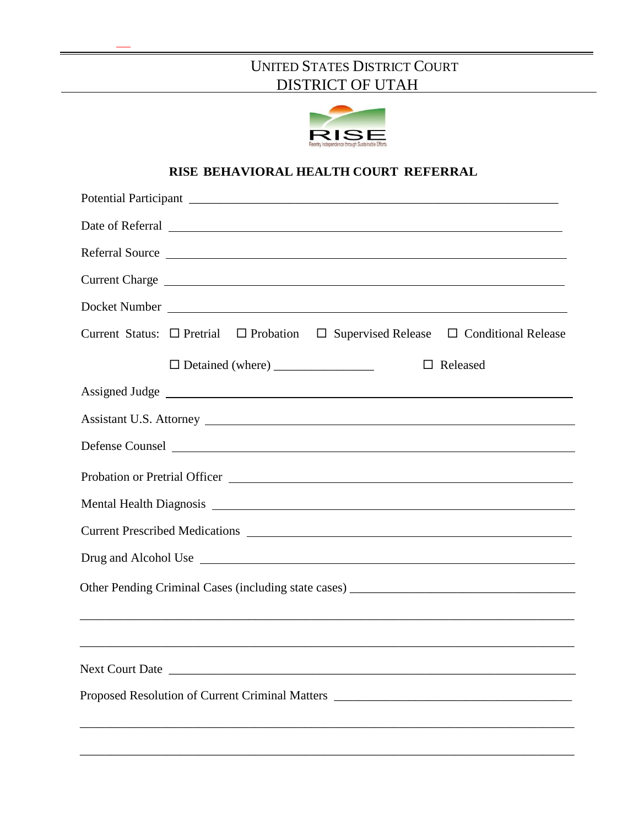# UNITED STATES DISTRICT COURT DISTRICT OF UTAH



# **RISE BEHAVIORAL HEALTH COURT REFERRAL**

|                                                                                                                                                                                                                                | Referral Source                                                                                                                                                                                                                |
|--------------------------------------------------------------------------------------------------------------------------------------------------------------------------------------------------------------------------------|--------------------------------------------------------------------------------------------------------------------------------------------------------------------------------------------------------------------------------|
|                                                                                                                                                                                                                                | Current Charge entertainment of the contract of the contract of the contract of the contract of the contract of the contract of the contract of the contract of the contract of the contract of the contract of the contract o |
|                                                                                                                                                                                                                                | Docket Number                                                                                                                                                                                                                  |
|                                                                                                                                                                                                                                | Current Status: $\Box$ Pretrial $\Box$ Probation $\Box$ Supervised Release $\Box$ Conditional Release                                                                                                                          |
|                                                                                                                                                                                                                                | $\Box$ Released                                                                                                                                                                                                                |
|                                                                                                                                                                                                                                | Assigned Judge entry and the set of the set of the set of the set of the set of the set of the set of the set of the set of the set of the set of the set of the set of the set of the set of the set of the set of the set of |
|                                                                                                                                                                                                                                | Assistant U.S. Attorney                                                                                                                                                                                                        |
|                                                                                                                                                                                                                                | Defense Counsel                                                                                                                                                                                                                |
| Probation or Pretrial Officer Campbell and Contract Contract of the Contract of the Contract of the Contract of the Contract of the Contract of the Contract of the Contract of the Contract of the Contract of the Contract o |                                                                                                                                                                                                                                |
|                                                                                                                                                                                                                                |                                                                                                                                                                                                                                |
|                                                                                                                                                                                                                                |                                                                                                                                                                                                                                |
| Drug and Alcohol Use                                                                                                                                                                                                           |                                                                                                                                                                                                                                |
|                                                                                                                                                                                                                                |                                                                                                                                                                                                                                |
|                                                                                                                                                                                                                                | ,我们也不能在这里的时候,我们也不能在这里的时候,我们也不能会在这里的时候,我们也不能会在这里的时候,我们也不能会在这里的时候,我们也不能会在这里的时候,我们也不                                                                                                                                              |
|                                                                                                                                                                                                                                |                                                                                                                                                                                                                                |
| <b>Next Court Date</b>                                                                                                                                                                                                         |                                                                                                                                                                                                                                |
| Proposed Resolution of Current Criminal Matters _________________________________                                                                                                                                              |                                                                                                                                                                                                                                |
|                                                                                                                                                                                                                                |                                                                                                                                                                                                                                |
|                                                                                                                                                                                                                                |                                                                                                                                                                                                                                |